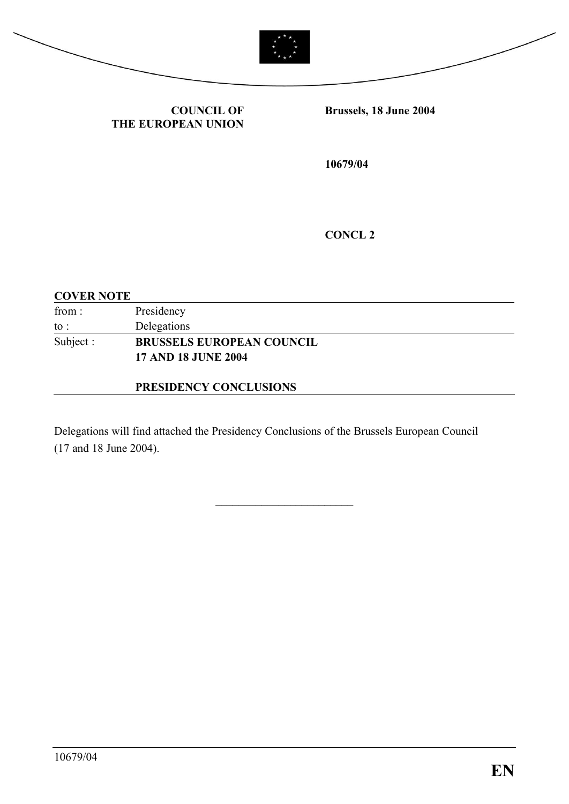



**COUNCIL OF THE EUROPEAN UNION** **Brussels, 18 June 2004** 

**10679/04**

**CONCL 2**

#### **COVER NOTE**

| from:     | Presidency                       |
|-----------|----------------------------------|
| to :      | Delegations                      |
| Subject : | <b>BRUSSELS EUROPEAN COUNCIL</b> |
|           | <b>17 AND 18 JUNE 2004</b>       |
|           |                                  |

#### **PRESIDENCY CONCLUSIONS**

Delegations will find attached the Presidency Conclusions of the Brussels European Council (17 and 18 June 2004).

\_\_\_\_\_\_\_\_\_\_\_\_\_\_\_\_\_\_\_\_\_\_\_\_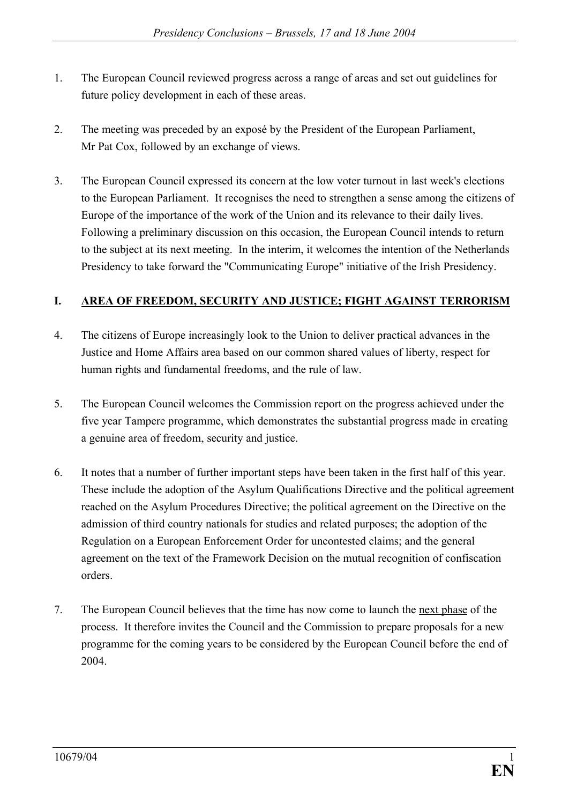- 1. The European Council reviewed progress across a range of areas and set out guidelines for future policy development in each of these areas.
- 2. The meeting was preceded by an exposé by the President of the European Parliament, Mr Pat Cox, followed by an exchange of views.
- 3. The European Council expressed its concern at the low voter turnout in last week's elections to the European Parliament. It recognises the need to strengthen a sense among the citizens of Europe of the importance of the work of the Union and its relevance to their daily lives. Following a preliminary discussion on this occasion, the European Council intends to return to the subject at its next meeting. In the interim, it welcomes the intention of the Netherlands Presidency to take forward the "Communicating Europe" initiative of the Irish Presidency.

## **I. AREA OF FREEDOM, SECURITY AND JUSTICE; FIGHT AGAINST TERRORISM**

- 4. The citizens of Europe increasingly look to the Union to deliver practical advances in the Justice and Home Affairs area based on our common shared values of liberty, respect for human rights and fundamental freedoms, and the rule of law.
- 5. The European Council welcomes the Commission report on the progress achieved under the five year Tampere programme, which demonstrates the substantial progress made in creating a genuine area of freedom, security and justice.
- 6. It notes that a number of further important steps have been taken in the first half of this year. These include the adoption of the Asylum Qualifications Directive and the political agreement reached on the Asylum Procedures Directive; the political agreement on the Directive on the admission of third country nationals for studies and related purposes; the adoption of the Regulation on a European Enforcement Order for uncontested claims; and the general agreement on the text of the Framework Decision on the mutual recognition of confiscation orders.
- 7. The European Council believes that the time has now come to launch the next phase of the process. It therefore invites the Council and the Commission to prepare proposals for a new programme for the coming years to be considered by the European Council before the end of 2004.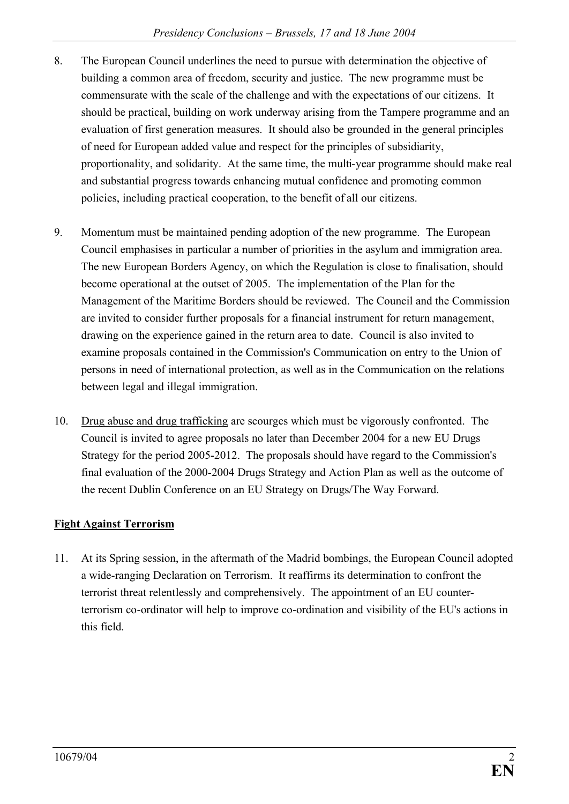- 8. The European Council underlines the need to pursue with determination the objective of building a common area of freedom, security and justice. The new programme must be commensurate with the scale of the challenge and with the expectations of our citizens. It should be practical, building on work underway arising from the Tampere programme and an evaluation of first generation measures. It should also be grounded in the general principles of need for European added value and respect for the principles of subsidiarity, proportionality, and solidarity. At the same time, the multi-year programme should make real and substantial progress towards enhancing mutual confidence and promoting common policies, including practical cooperation, to the benefit of all our citizens.
- 9. Momentum must be maintained pending adoption of the new programme. The European Council emphasises in particular a number of priorities in the asylum and immigration area. The new European Borders Agency, on which the Regulation is close to finalisation, should become operational at the outset of 2005. The implementation of the Plan for the Management of the Maritime Borders should be reviewed. The Council and the Commission are invited to consider further proposals for a financial instrument for return management, drawing on the experience gained in the return area to date. Council is also invited to examine proposals contained in the Commission's Communication on entry to the Union of persons in need of international protection, as well as in the Communication on the relations between legal and illegal immigration.
- 10. Drug abuse and drug trafficking are scourges which must be vigorously confronted. The Council is invited to agree proposals no later than December 2004 for a new EU Drugs Strategy for the period 2005-2012. The proposals should have regard to the Commission's final evaluation of the 2000-2004 Drugs Strategy and Action Plan as well as the outcome of the recent Dublin Conference on an EU Strategy on Drugs/The Way Forward.

## **Fight Against Terrorism**

11. At its Spring session, in the aftermath of the Madrid bombings, the European Council adopted a wide-ranging Declaration on Terrorism. It reaffirms its determination to confront the terrorist threat relentlessly and comprehensively. The appointment of an EU counterterrorism co-ordinator will help to improve co-ordination and visibility of the EU's actions in this field.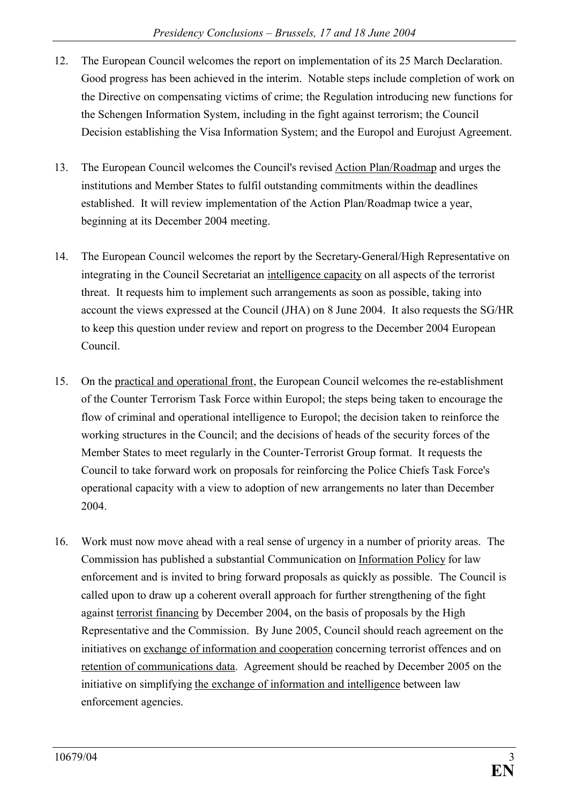- 12. The European Council welcomes the report on implementation of its 25 March Declaration. Good progress has been achieved in the interim. Notable steps include completion of work on the Directive on compensating victims of crime; the Regulation introducing new functions for the Schengen Information System, including in the fight against terrorism; the Council Decision establishing the Visa Information System; and the Europol and Eurojust Agreement.
- 13. The European Council welcomes the Council's revised Action Plan/Roadmap and urges the institutions and Member States to fulfil outstanding commitments within the deadlines established. It will review implementation of the Action Plan/Roadmap twice a year, beginning at its December 2004 meeting.
- 14. The European Council welcomes the report by the Secretary-General/High Representative on integrating in the Council Secretariat an intelligence capacity on all aspects of the terrorist threat. It requests him to implement such arrangements as soon as possible, taking into account the views expressed at the Council (JHA) on 8 June 2004. It also requests the SG/HR to keep this question under review and report on progress to the December 2004 European Council.
- 15. On the practical and operational front, the European Council welcomes the re-establishment of the Counter Terrorism Task Force within Europol; the steps being taken to encourage the flow of criminal and operational intelligence to Europol; the decision taken to reinforce the working structures in the Council; and the decisions of heads of the security forces of the Member States to meet regularly in the Counter-Terrorist Group format. It requests the Council to take forward work on proposals for reinforcing the Police Chiefs Task Force's operational capacity with a view to adoption of new arrangements no later than December 2004.
- 16. Work must now move ahead with a real sense of urgency in a number of priority areas. The Commission has published a substantial Communication on Information Policy for law enforcement and is invited to bring forward proposals as quickly as possible. The Council is called upon to draw up a coherent overall approach for further strengthening of the fight against terrorist financing by December 2004, on the basis of proposals by the High Representative and the Commission. By June 2005, Council should reach agreement on the initiatives on exchange of information and cooperation concerning terrorist offences and on retention of communications data. Agreement should be reached by December 2005 on the initiative on simplifying the exchange of information and intelligence between law enforcement agencies.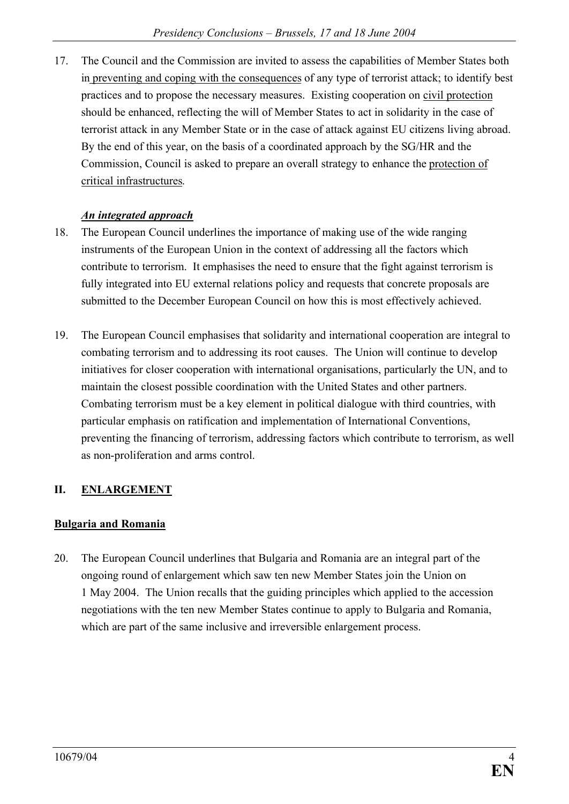17. The Council and the Commission are invited to assess the capabilities of Member States both in preventing and coping with the consequences of any type of terrorist attack; to identify best practices and to propose the necessary measures. Existing cooperation on civil protection should be enhanced, reflecting the will of Member States to act in solidarity in the case of terrorist attack in any Member State or in the case of attack against EU citizens living abroad. By the end of this year, on the basis of a coordinated approach by the SG/HR and the Commission, Council is asked to prepare an overall strategy to enhance the protection of critical infrastructures.

#### *An integrated approach*

- 18. The European Council underlines the importance of making use of the wide ranging instruments of the European Union in the context of addressing all the factors which contribute to terrorism. It emphasises the need to ensure that the fight against terrorism is fully integrated into EU external relations policy and requests that concrete proposals are submitted to the December European Council on how this is most effectively achieved.
- 19. The European Council emphasises that solidarity and international cooperation are integral to combating terrorism and to addressing its root causes. The Union will continue to develop initiatives for closer cooperation with international organisations, particularly the UN, and to maintain the closest possible coordination with the United States and other partners. Combating terrorism must be a key element in political dialogue with third countries, with particular emphasis on ratification and implementation of International Conventions, preventing the financing of terrorism, addressing factors which contribute to terrorism, as well as non-proliferation and arms control.

## **II. ENLARGEMENT**

#### **Bulgaria and Romania**

20. The European Council underlines that Bulgaria and Romania are an integral part of the ongoing round of enlargement which saw ten new Member States join the Union on 1 May 2004. The Union recalls that the guiding principles which applied to the accession negotiations with the ten new Member States continue to apply to Bulgaria and Romania, which are part of the same inclusive and irreversible enlargement process.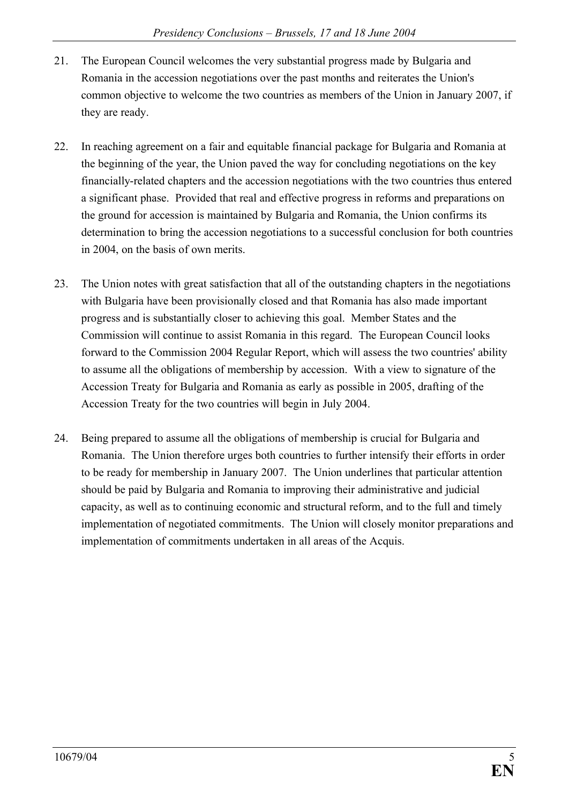- 21. The European Council welcomes the very substantial progress made by Bulgaria and Romania in the accession negotiations over the past months and reiterates the Union's common objective to welcome the two countries as members of the Union in January 2007, if they are ready.
- 22. In reaching agreement on a fair and equitable financial package for Bulgaria and Romania at the beginning of the year, the Union paved the way for concluding negotiations on the key financially-related chapters and the accession negotiations with the two countries thus entered a significant phase. Provided that real and effective progress in reforms and preparations on the ground for accession is maintained by Bulgaria and Romania, the Union confirms its determination to bring the accession negotiations to a successful conclusion for both countries in 2004, on the basis of own merits.
- 23. The Union notes with great satisfaction that all of the outstanding chapters in the negotiations with Bulgaria have been provisionally closed and that Romania has also made important progress and is substantially closer to achieving this goal. Member States and the Commission will continue to assist Romania in this regard. The European Council looks forward to the Commission 2004 Regular Report, which will assess the two countries' ability to assume all the obligations of membership by accession. With a view to signature of the Accession Treaty for Bulgaria and Romania as early as possible in 2005, drafting of the Accession Treaty for the two countries will begin in July 2004.
- 24. Being prepared to assume all the obligations of membership is crucial for Bulgaria and Romania. The Union therefore urges both countries to further intensify their efforts in order to be ready for membership in January 2007. The Union underlines that particular attention should be paid by Bulgaria and Romania to improving their administrative and judicial capacity, as well as to continuing economic and structural reform, and to the full and timely implementation of negotiated commitments. The Union will closely monitor preparations and implementation of commitments undertaken in all areas of the Acquis.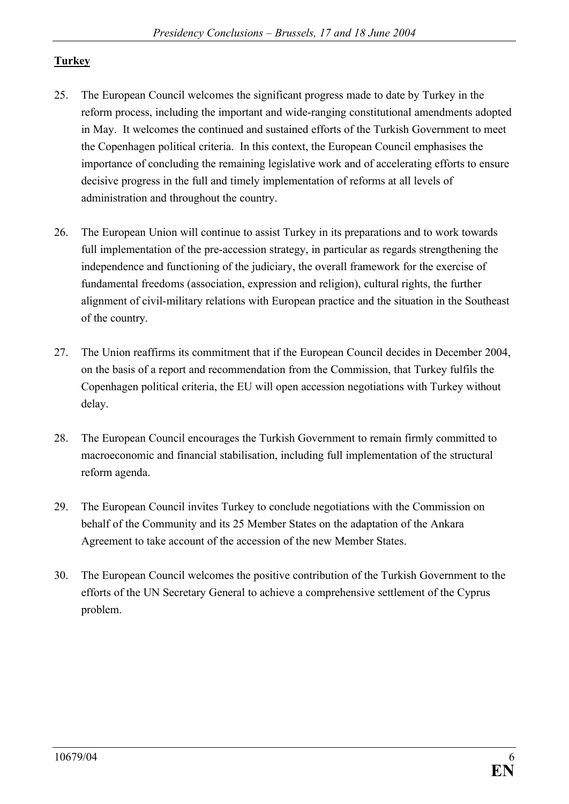## **Turkey**

- 25. The European Council welcomes the significant progress made to date by Turkey in the reform process, including the important and wide-ranging constitutional amendments adopted in May. It welcomes the continued and sustained efforts of the Turkish Government to meet the Copenhagen political criteria. In this context, the European Council emphasises the importance of concluding the remaining legislative work and of accelerating efforts to ensure decisive progress in the full and timely implementation of reforms at all levels of administration and throughout the country.
- 26. The European Union will continue to assist Turkey in its preparations and to work towards full implementation of the pre-accession strategy, in particular as regards strengthening the independence and functioning of the judiciary, the overall framework for the exercise of fundamental freedoms (association, expression and religion), cultural rights, the further alignment of civil-military relations with European practice and the situation in the Southeast of the country.
- 27. The Union reaffirms its commitment that if the European Council decides in December 2004, on the basis of a report and recommendation from the Commission, that Turkey fulfils the Copenhagen political criteria, the EU will open accession negotiations with Turkey without delay.
- 28. The European Council encourages the Turkish Government to remain firmly committed to macroeconomic and financial stabilisation, including full implementation of the structural reform agenda.
- 29. The European Council invites Turkey to conclude negotiations with the Commission on behalf of the Community and its 25 Member States on the adaptation of the Ankara Agreement to take account of the accession of the new Member States.
- 30. The European Council welcomes the positive contribution of the Turkish Government to the efforts of the UN Secretary General to achieve a comprehensive settlement of the Cyprus problem.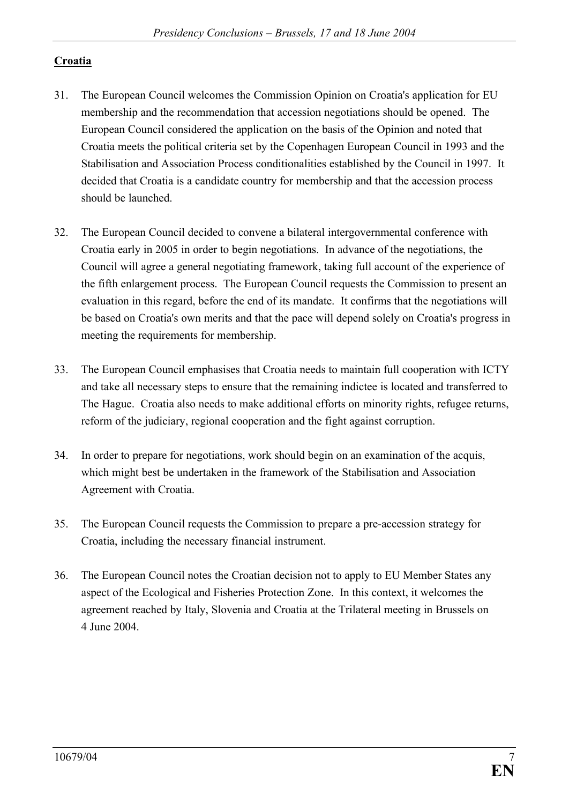### **Croatia**

- 31. The European Council welcomes the Commission Opinion on Croatia's application for EU membership and the recommendation that accession negotiations should be opened. The European Council considered the application on the basis of the Opinion and noted that Croatia meets the political criteria set by the Copenhagen European Council in 1993 and the Stabilisation and Association Process conditionalities established by the Council in 1997. It decided that Croatia is a candidate country for membership and that the accession process should be launched.
- 32. The European Council decided to convene a bilateral intergovernmental conference with Croatia early in 2005 in order to begin negotiations. In advance of the negotiations, the Council will agree a general negotiating framework, taking full account of the experience of the fifth enlargement process. The European Council requests the Commission to present an evaluation in this regard, before the end of its mandate. It confirms that the negotiations will be based on Croatia's own merits and that the pace will depend solely on Croatia's progress in meeting the requirements for membership.
- 33. The European Council emphasises that Croatia needs to maintain full cooperation with ICTY and take all necessary steps to ensure that the remaining indictee is located and transferred to The Hague. Croatia also needs to make additional efforts on minority rights, refugee returns, reform of the judiciary, regional cooperation and the fight against corruption.
- 34. In order to prepare for negotiations, work should begin on an examination of the acquis, which might best be undertaken in the framework of the Stabilisation and Association Agreement with Croatia.
- 35. The European Council requests the Commission to prepare a pre-accession strategy for Croatia, including the necessary financial instrument.
- 36. The European Council notes the Croatian decision not to apply to EU Member States any aspect of the Ecological and Fisheries Protection Zone. In this context, it welcomes the agreement reached by Italy, Slovenia and Croatia at the Trilateral meeting in Brussels on 4 June 2004.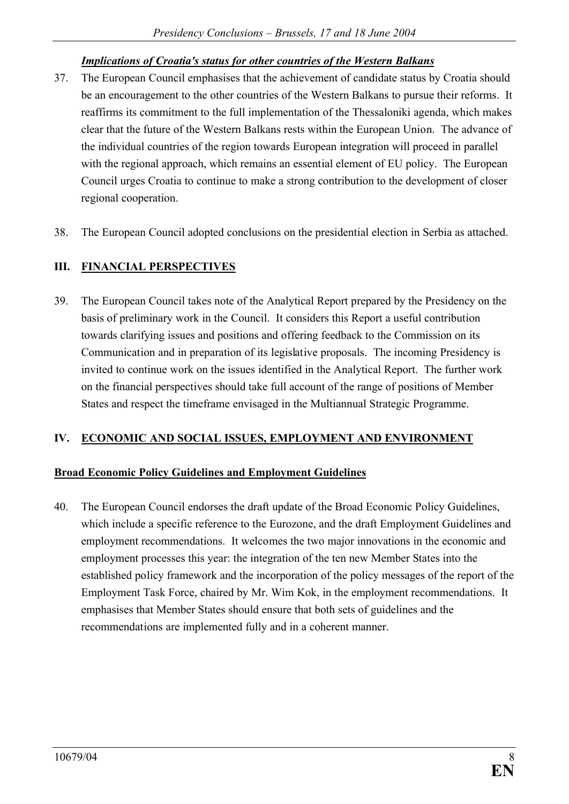### *Implications of Croatia's status for other countries of the Western Balkans*

- 37. The European Council emphasises that the achievement of candidate status by Croatia should be an encouragement to the other countries of the Western Balkans to pursue their reforms. It reaffirms its commitment to the full implementation of the Thessaloniki agenda, which makes clear that the future of the Western Balkans rests within the European Union. The advance of the individual countries of the region towards European integration will proceed in parallel with the regional approach, which remains an essential element of EU policy. The European Council urges Croatia to continue to make a strong contribution to the development of closer regional cooperation.
- 38. The European Council adopted conclusions on the presidential election in Serbia as attached.

## **III. FINANCIAL PERSPECTIVES**

39. The European Council takes note of the Analytical Report prepared by the Presidency on the basis of preliminary work in the Council. It considers this Report a useful contribution towards clarifying issues and positions and offering feedback to the Commission on its Communication and in preparation of its legislative proposals. The incoming Presidency is invited to continue work on the issues identified in the Analytical Report. The further work on the financial perspectives should take full account of the range of positions of Member States and respect the timeframe envisaged in the Multiannual Strategic Programme.

#### **IV. ECONOMIC AND SOCIAL ISSUES, EMPLOYMENT AND ENVIRONMENT**

#### **Broad Economic Policy Guidelines and Employment Guidelines**

40. The European Council endorses the draft update of the Broad Economic Policy Guidelines, which include a specific reference to the Eurozone, and the draft Employment Guidelines and employment recommendations. It welcomes the two major innovations in the economic and employment processes this year: the integration of the ten new Member States into the established policy framework and the incorporation of the policy messages of the report of the Employment Task Force, chaired by Mr. Wim Kok, in the employment recommendations. It emphasises that Member States should ensure that both sets of guidelines and the recommendations are implemented fully and in a coherent manner.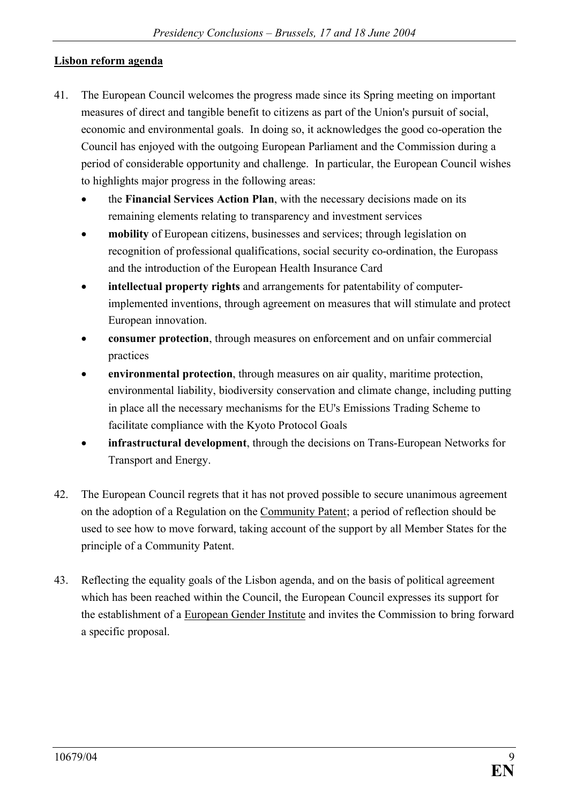### **Lisbon reform agenda**

- 41. The European Council welcomes the progress made since its Spring meeting on important measures of direct and tangible benefit to citizens as part of the Union's pursuit of social, economic and environmental goals. In doing so, it acknowledges the good co-operation the Council has enjoyed with the outgoing European Parliament and the Commission during a period of considerable opportunity and challenge. In particular, the European Council wishes to highlights major progress in the following areas:
	- the **Financial Services Action Plan**, with the necessary decisions made on its remaining elements relating to transparency and investment services
	- **mobility** of European citizens, businesses and services; through legislation on recognition of professional qualifications, social security co-ordination, the Europass and the introduction of the European Health Insurance Card
	- · **intellectual property rights** and arrangements for patentability of computerimplemented inventions, through agreement on measures that will stimulate and protect European innovation.
	- · **consumer protection**, through measures on enforcement and on unfair commercial practices
	- **environmental protection**, through measures on air quality, maritime protection, environmental liability, biodiversity conservation and climate change, including putting in place all the necessary mechanisms for the EU's Emissions Trading Scheme to facilitate compliance with the Kyoto Protocol Goals
	- infrastructural development, through the decisions on Trans-European Networks for Transport and Energy.
- 42. The European Council regrets that it has not proved possible to secure unanimous agreement on the adoption of a Regulation on the Community Patent; a period of reflection should be used to see how to move forward, taking account of the support by all Member States for the principle of a Community Patent.
- 43. Reflecting the equality goals of the Lisbon agenda, and on the basis of political agreement which has been reached within the Council, the European Council expresses its support for the establishment of a European Gender Institute and invites the Commission to bring forward a specific proposal.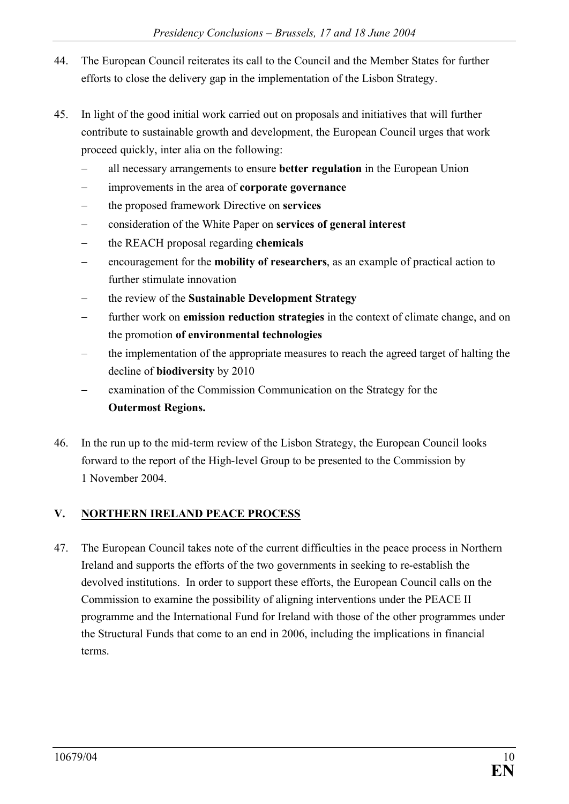- 44. The European Council reiterates its call to the Council and the Member States for further efforts to close the delivery gap in the implementation of the Lisbon Strategy.
- 45. In light of the good initial work carried out on proposals and initiatives that will further contribute to sustainable growth and development, the European Council urges that work proceed quickly, inter alia on the following:
	- all necessary arrangements to ensure **better regulation** in the European Union
	- improvements in the area of **corporate governance**
	- the proposed framework Directive on **services**
	- consideration of the White Paper on **services of general interest**
	- the REACH proposal regarding **chemicals**
	- encouragement for the **mobility of researchers**, as an example of practical action to further stimulate innovation
	- the review of the **Sustainable Development Strategy**
	- further work on **emission reduction strategies** in the context of climate change, and on the promotion **of environmental technologies**
	- the implementation of the appropriate measures to reach the agreed target of halting the decline of **biodiversity** by 2010
	- examination of the Commission Communication on the Strategy for the **Outermost Regions.**
- 46. In the run up to the mid-term review of the Lisbon Strategy, the European Council looks forward to the report of the High-level Group to be presented to the Commission by 1 November 2004.

## **V. NORTHERN IRELAND PEACE PROCESS**

47. The European Council takes note of the current difficulties in the peace process in Northern Ireland and supports the efforts of the two governments in seeking to re-establish the devolved institutions. In order to support these efforts, the European Council calls on the Commission to examine the possibility of aligning interventions under the PEACE II programme and the International Fund for Ireland with those of the other programmes under the Structural Funds that come to an end in 2006, including the implications in financial terms.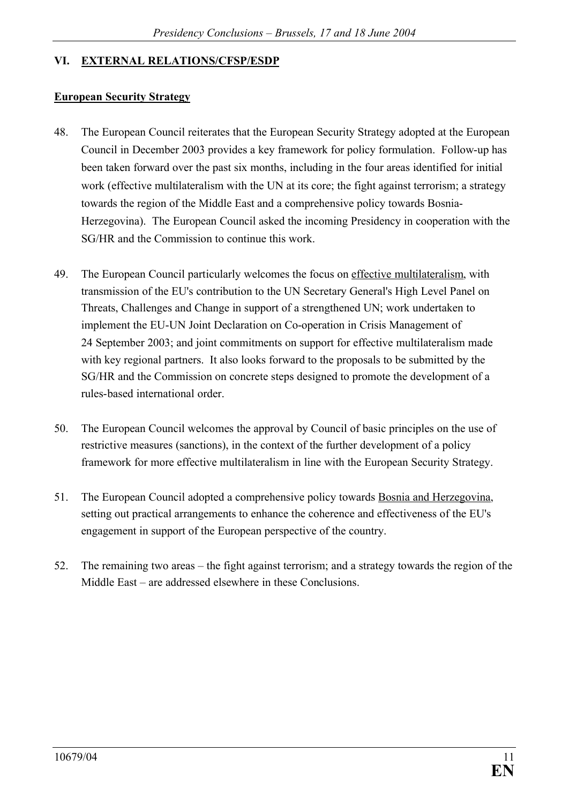#### **VI. EXTERNAL RELATIONS/CFSP/ESDP**

#### **European Security Strategy**

- 48. The European Council reiterates that the European Security Strategy adopted at the European Council in December 2003 provides a key framework for policy formulation. Follow-up has been taken forward over the past six months, including in the four areas identified for initial work (effective multilateralism with the UN at its core; the fight against terrorism; a strategy towards the region of the Middle East and a comprehensive policy towards Bosnia-Herzegovina). The European Council asked the incoming Presidency in cooperation with the SG/HR and the Commission to continue this work.
- 49. The European Council particularly welcomes the focus on effective multilateralism, with transmission of the EU's contribution to the UN Secretary General's High Level Panel on Threats, Challenges and Change in support of a strengthened UN; work undertaken to implement the EU-UN Joint Declaration on Co-operation in Crisis Management of 24 September 2003; and joint commitments on support for effective multilateralism made with key regional partners. It also looks forward to the proposals to be submitted by the SG/HR and the Commission on concrete steps designed to promote the development of a rules-based international order.
- 50. The European Council welcomes the approval by Council of basic principles on the use of restrictive measures (sanctions), in the context of the further development of a policy framework for more effective multilateralism in line with the European Security Strategy.
- 51. The European Council adopted a comprehensive policy towards Bosnia and Herzegovina, setting out practical arrangements to enhance the coherence and effectiveness of the EU's engagement in support of the European perspective of the country.
- 52. The remaining two areas the fight against terrorism; and a strategy towards the region of the Middle East – are addressed elsewhere in these Conclusions.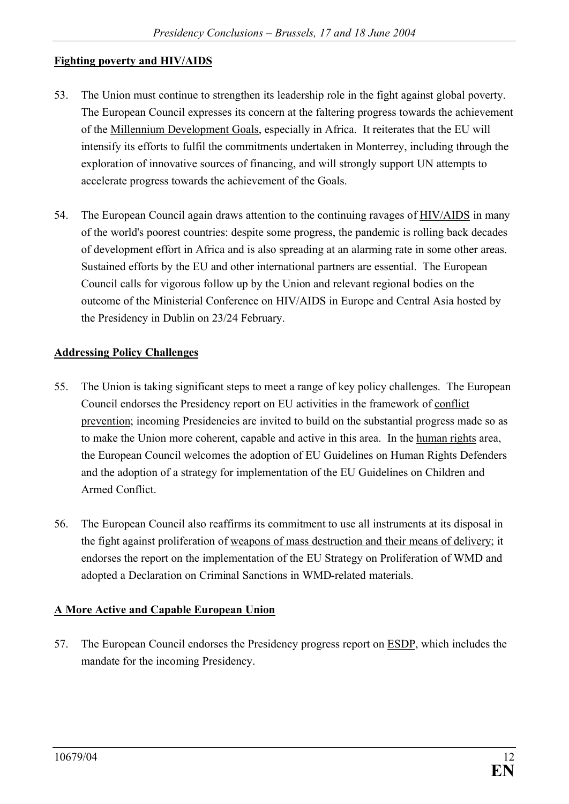### **Fighting poverty and HIV/AIDS**

- 53. The Union must continue to strengthen its leadership role in the fight against global poverty. The European Council expresses its concern at the faltering progress towards the achievement of the Millennium Development Goals, especially in Africa. It reiterates that the EU will intensify its efforts to fulfil the commitments undertaken in Monterrey, including through the exploration of innovative sources of financing, and will strongly support UN attempts to accelerate progress towards the achievement of the Goals.
- 54. The European Council again draws attention to the continuing ravages of HIV/AIDS in many of the world's poorest countries: despite some progress, the pandemic is rolling back decades of development effort in Africa and is also spreading at an alarming rate in some other areas. Sustained efforts by the EU and other international partners are essential. The European Council calls for vigorous follow up by the Union and relevant regional bodies on the outcome of the Ministerial Conference on HIV/AIDS in Europe and Central Asia hosted by the Presidency in Dublin on 23/24 February.

#### **Addressing Policy Challenges**

- 55. The Union is taking significant steps to meet a range of key policy challenges. The European Council endorses the Presidency report on EU activities in the framework of conflict prevention; incoming Presidencies are invited to build on the substantial progress made so as to make the Union more coherent, capable and active in this area. In the human rights area, the European Council welcomes the adoption of EU Guidelines on Human Rights Defenders and the adoption of a strategy for implementation of the EU Guidelines on Children and Armed Conflict.
- 56. The European Council also reaffirms its commitment to use all instruments at its disposal in the fight against proliferation of weapons of mass destruction and their means of delivery; it endorses the report on the implementation of the EU Strategy on Proliferation of WMD and adopted a Declaration on Criminal Sanctions in WMD-related materials.

## **A More Active and Capable European Union**

57. The European Council endorses the Presidency progress report on ESDP, which includes the mandate for the incoming Presidency.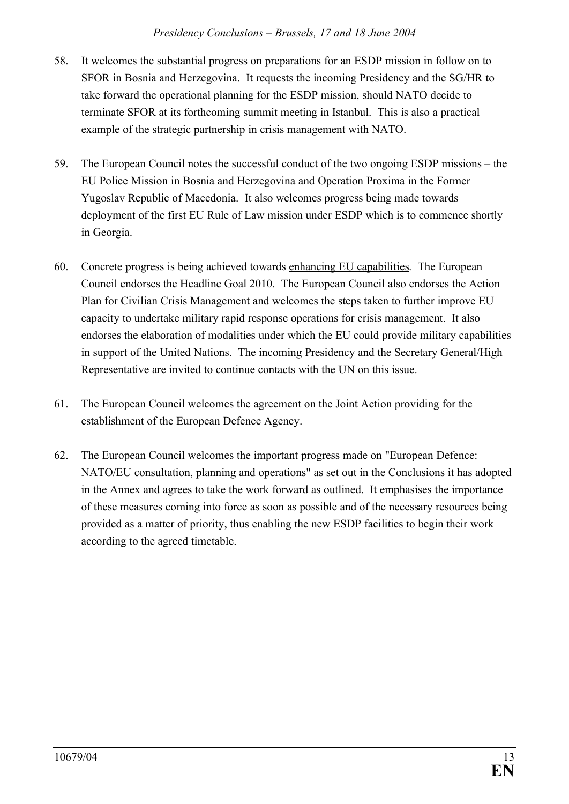- 58. It welcomes the substantial progress on preparations for an ESDP mission in follow on to SFOR in Bosnia and Herzegovina. It requests the incoming Presidency and the SG/HR to take forward the operational planning for the ESDP mission, should NATO decide to terminate SFOR at its forthcoming summit meeting in Istanbul. This is also a practical example of the strategic partnership in crisis management with NATO.
- 59. The European Council notes the successful conduct of the two ongoing ESDP missions the EU Police Mission in Bosnia and Herzegovina and Operation Proxima in the Former Yugoslav Republic of Macedonia. It also welcomes progress being made towards deployment of the first EU Rule of Law mission under ESDP which is to commence shortly in Georgia.
- 60. Concrete progress is being achieved towards enhancing EU capabilities. The European Council endorses the Headline Goal 2010. The European Council also endorses the Action Plan for Civilian Crisis Management and welcomes the steps taken to further improve EU capacity to undertake military rapid response operations for crisis management. It also endorses the elaboration of modalities under which the EU could provide military capabilities in support of the United Nations. The incoming Presidency and the Secretary General/High Representative are invited to continue contacts with the UN on this issue.
- 61. The European Council welcomes the agreement on the Joint Action providing for the establishment of the European Defence Agency.
- 62. The European Council welcomes the important progress made on "European Defence: NATO/EU consultation, planning and operations" as set out in the Conclusions it has adopted in the Annex and agrees to take the work forward as outlined. It emphasises the importance of these measures coming into force as soon as possible and of the necessary resources being provided as a matter of priority, thus enabling the new ESDP facilities to begin their work according to the agreed timetable.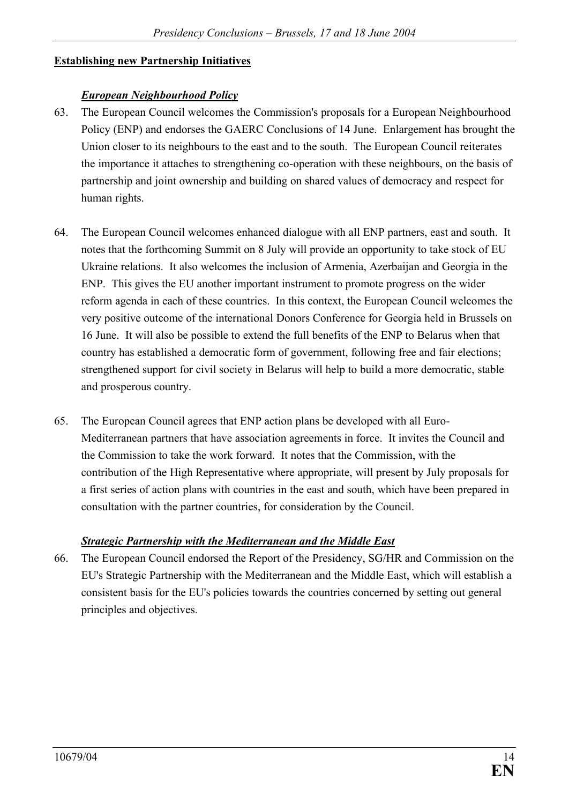## **Establishing new Partnership Initiatives**

## *European Neighbourhood Policy*

- 63. The European Council welcomes the Commission's proposals for a European Neighbourhood Policy (ENP) and endorses the GAERC Conclusions of 14 June. Enlargement has brought the Union closer to its neighbours to the east and to the south. The European Council reiterates the importance it attaches to strengthening co-operation with these neighbours, on the basis of partnership and joint ownership and building on shared values of democracy and respect for human rights.
- 64. The European Council welcomes enhanced dialogue with all ENP partners, east and south. It notes that the forthcoming Summit on 8 July will provide an opportunity to take stock of EU Ukraine relations. It also welcomes the inclusion of Armenia, Azerbaijan and Georgia in the ENP. This gives the EU another important instrument to promote progress on the wider reform agenda in each of these countries. In this context, the European Council welcomes the very positive outcome of the international Donors Conference for Georgia held in Brussels on 16 June. It will also be possible to extend the full benefits of the ENP to Belarus when that country has established a democratic form of government, following free and fair elections; strengthened support for civil society in Belarus will help to build a more democratic, stable and prosperous country.
- 65. The European Council agrees that ENP action plans be developed with all Euro-Mediterranean partners that have association agreements in force. It invites the Council and the Commission to take the work forward. It notes that the Commission, with the contribution of the High Representative where appropriate, will present by July proposals for a first series of action plans with countries in the east and south, which have been prepared in consultation with the partner countries, for consideration by the Council.

## *Strategic Partnership with the Mediterranean and the Middle East*

66. The European Council endorsed the Report of the Presidency, SG/HR and Commission on the EU's Strategic Partnership with the Mediterranean and the Middle East, which will establish a consistent basis for the EU's policies towards the countries concerned by setting out general principles and objectives.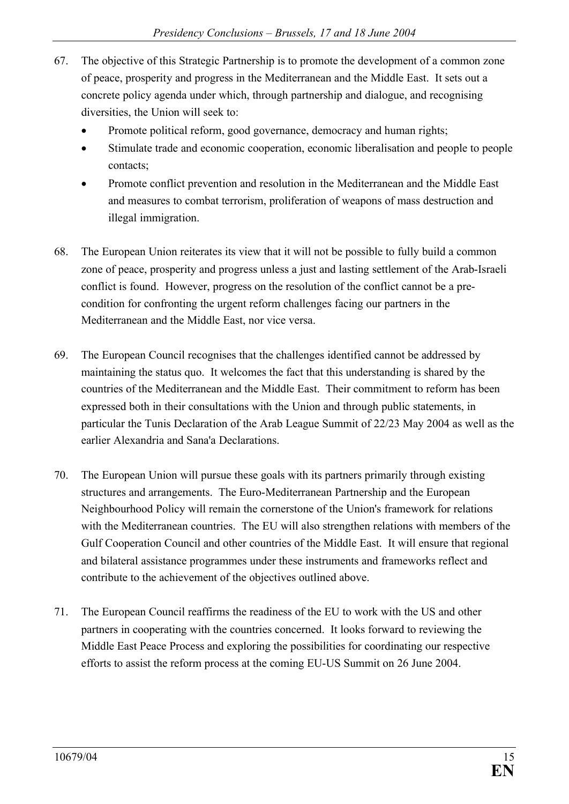- 67. The objective of this Strategic Partnership is to promote the development of a common zone of peace, prosperity and progress in the Mediterranean and the Middle East. It sets out a concrete policy agenda under which, through partnership and dialogue, and recognising diversities, the Union will seek to:
	- Promote political reform, good governance, democracy and human rights;
	- · Stimulate trade and economic cooperation, economic liberalisation and people to people contacts;
	- Promote conflict prevention and resolution in the Mediterranean and the Middle East and measures to combat terrorism, proliferation of weapons of mass destruction and illegal immigration.
- 68. The European Union reiterates its view that it will not be possible to fully build a common zone of peace, prosperity and progress unless a just and lasting settlement of the Arab-Israeli conflict is found. However, progress on the resolution of the conflict cannot be a precondition for confronting the urgent reform challenges facing our partners in the Mediterranean and the Middle East, nor vice versa.
- 69. The European Council recognises that the challenges identified cannot be addressed by maintaining the status quo. It welcomes the fact that this understanding is shared by the countries of the Mediterranean and the Middle East. Their commitment to reform has been expressed both in their consultations with the Union and through public statements, in particular the Tunis Declaration of the Arab League Summit of 22/23 May 2004 as well as the earlier Alexandria and Sana'a Declarations.
- 70. The European Union will pursue these goals with its partners primarily through existing structures and arrangements. The Euro-Mediterranean Partnership and the European Neighbourhood Policy will remain the cornerstone of the Union's framework for relations with the Mediterranean countries. The EU will also strengthen relations with members of the Gulf Cooperation Council and other countries of the Middle East. It will ensure that regional and bilateral assistance programmes under these instruments and frameworks reflect and contribute to the achievement of the objectives outlined above.
- 71. The European Council reaffirms the readiness of the EU to work with the US and other partners in cooperating with the countries concerned. It looks forward to reviewing the Middle East Peace Process and exploring the possibilities for coordinating our respective efforts to assist the reform process at the coming EU-US Summit on 26 June 2004.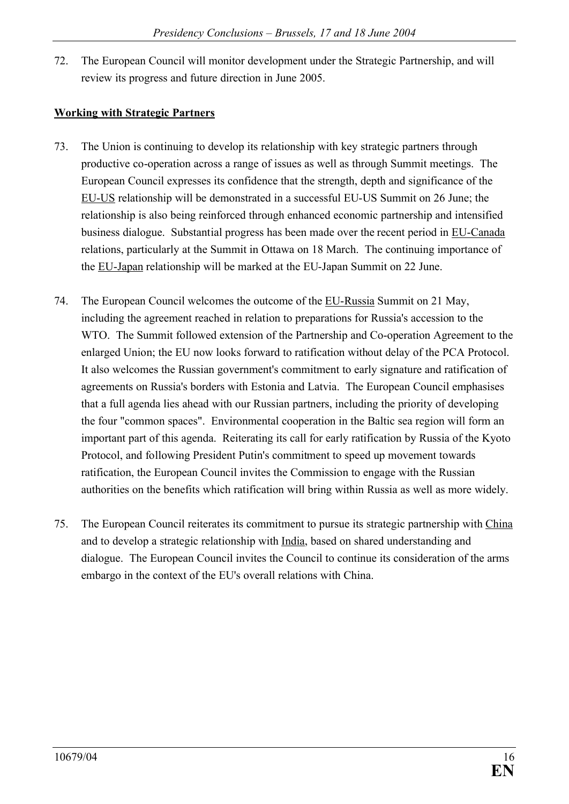72. The European Council will monitor development under the Strategic Partnership, and will review its progress and future direction in June 2005.

## **Working with Strategic Partners**

- 73. The Union is continuing to develop its relationship with key strategic partners through productive co-operation across a range of issues as well as through Summit meetings. The European Council expresses its confidence that the strength, depth and significance of the EU-US relationship will be demonstrated in a successful EU-US Summit on 26 June; the relationship is also being reinforced through enhanced economic partnership and intensified business dialogue. Substantial progress has been made over the recent period in EU-Canada relations, particularly at the Summit in Ottawa on 18 March. The continuing importance of the EU-Japan relationship will be marked at the EU-Japan Summit on 22 June.
- 74. The European Council welcomes the outcome of the EU-Russia Summit on 21 May, including the agreement reached in relation to preparations for Russia's accession to the WTO. The Summit followed extension of the Partnership and Co-operation Agreement to the enlarged Union; the EU now looks forward to ratification without delay of the PCA Protocol. It also welcomes the Russian government's commitment to early signature and ratification of agreements on Russia's borders with Estonia and Latvia. The European Council emphasises that a full agenda lies ahead with our Russian partners, including the priority of developing the four "common spaces". Environmental cooperation in the Baltic sea region will form an important part of this agenda. Reiterating its call for early ratification by Russia of the Kyoto Protocol, and following President Putin's commitment to speed up movement towards ratification, the European Council invites the Commission to engage with the Russian authorities on the benefits which ratification will bring within Russia as well as more widely.
- 75. The European Council reiterates its commitment to pursue its strategic partnership with China and to develop a strategic relationship with India, based on shared understanding and dialogue. The European Council invites the Council to continue its consideration of the arms embargo in the context of the EU's overall relations with China.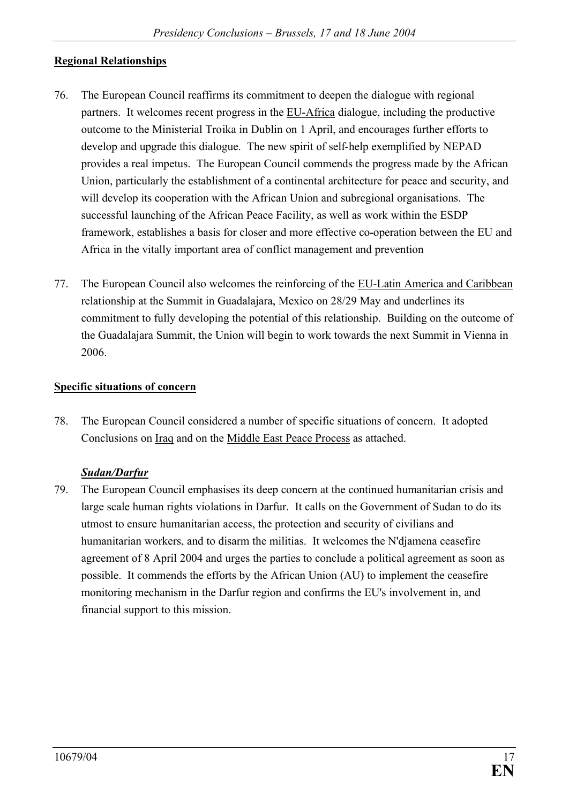#### **Regional Relationships**

- 76. The European Council reaffirms its commitment to deepen the dialogue with regional partners. It welcomes recent progress in the EU-Africa dialogue, including the productive outcome to the Ministerial Troika in Dublin on 1 April, and encourages further efforts to develop and upgrade this dialogue. The new spirit of self-help exemplified by NEPAD provides a real impetus. The European Council commends the progress made by the African Union, particularly the establishment of a continental architecture for peace and security, and will develop its cooperation with the African Union and subregional organisations. The successful launching of the African Peace Facility, as well as work within the ESDP framework, establishes a basis for closer and more effective co-operation between the EU and Africa in the vitally important area of conflict management and prevention
- 77. The European Council also welcomes the reinforcing of the EU-Latin America and Caribbean relationship at the Summit in Guadalajara, Mexico on 28/29 May and underlines its commitment to fully developing the potential of this relationship. Building on the outcome of the Guadalajara Summit, the Union will begin to work towards the next Summit in Vienna in 2006.

#### **Specific situations of concern**

78. The European Council considered a number of specific situations of concern. It adopted Conclusions on Iraq and on the Middle East Peace Process as attached.

#### *Sudan/Darfur*

79. The European Council emphasises its deep concern at the continued humanitarian crisis and large scale human rights violations in Darfur. It calls on the Government of Sudan to do its utmost to ensure humanitarian access, the protection and security of civilians and humanitarian workers, and to disarm the militias. It welcomes the N'djamena ceasefire agreement of 8 April 2004 and urges the parties to conclude a political agreement as soon as possible. It commends the efforts by the African Union (AU) to implement the ceasefire monitoring mechanism in the Darfur region and confirms the EU's involvement in, and financial support to this mission.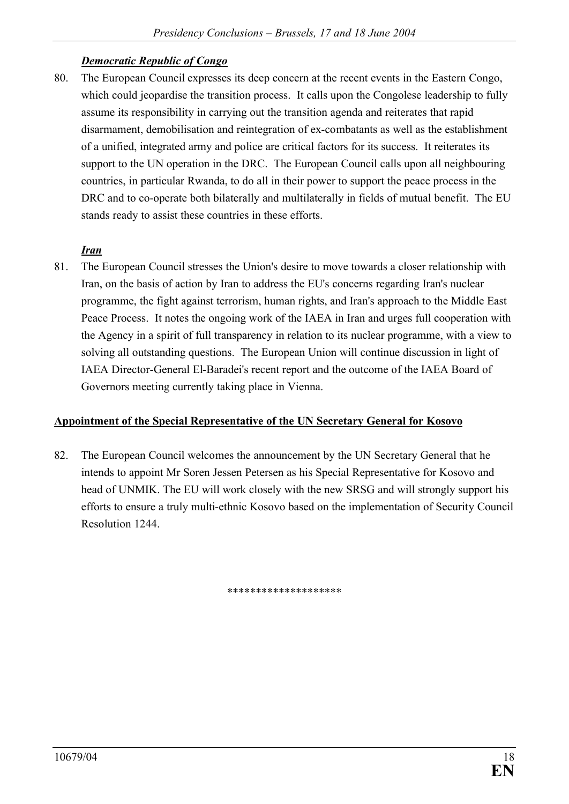## *Democratic Republic of Congo*

80. The European Council expresses its deep concern at the recent events in the Eastern Congo, which could jeopardise the transition process. It calls upon the Congolese leadership to fully assume its responsibility in carrying out the transition agenda and reiterates that rapid disarmament, demobilisation and reintegration of ex-combatants as well as the establishment of a unified, integrated army and police are critical factors for its success. It reiterates its support to the UN operation in the DRC. The European Council calls upon all neighbouring countries, in particular Rwanda, to do all in their power to support the peace process in the DRC and to co-operate both bilaterally and multilaterally in fields of mutual benefit. The EU stands ready to assist these countries in these efforts.

#### *Iran*

81. The European Council stresses the Union's desire to move towards a closer relationship with Iran, on the basis of action by Iran to address the EU's concerns regarding Iran's nuclear programme, the fight against terrorism, human rights, and Iran's approach to the Middle East Peace Process. It notes the ongoing work of the IAEA in Iran and urges full cooperation with the Agency in a spirit of full transparency in relation to its nuclear programme, with a view to solving all outstanding questions. The European Union will continue discussion in light of IAEA Director-General El-Baradei's recent report and the outcome of the IAEA Board of Governors meeting currently taking place in Vienna.

#### **Appointment of the Special Representative of the UN Secretary General for Kosovo**

82. The European Council welcomes the announcement by the UN Secretary General that he intends to appoint Mr Soren Jessen Petersen as his Special Representative for Kosovo and head of UNMIK. The EU will work closely with the new SRSG and will strongly support his efforts to ensure a truly multi-ethnic Kosovo based on the implementation of Security Council Resolution 1244.

\*\*\*\*\*\*\*\*\*\*\*\*\*\*\*\*\*\*\*\*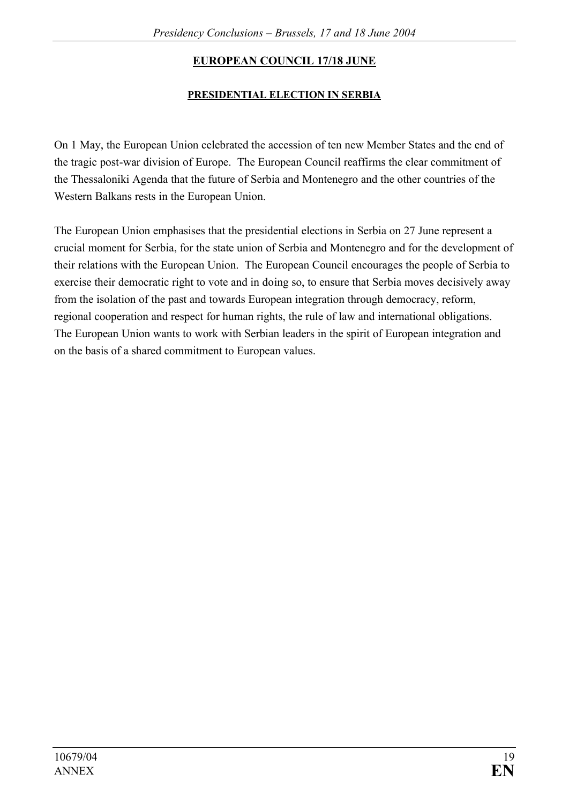# **EUROPEAN COUNCIL 17/18 JUNE**

## **PRESIDENTIAL ELECTION IN SERBIA**

On 1 May, the European Union celebrated the accession of ten new Member States and the end of the tragic post-war division of Europe. The European Council reaffirms the clear commitment of the Thessaloniki Agenda that the future of Serbia and Montenegro and the other countries of the Western Balkans rests in the European Union.

The European Union emphasises that the presidential elections in Serbia on 27 June represent a crucial moment for Serbia, for the state union of Serbia and Montenegro and for the development of their relations with the European Union. The European Council encourages the people of Serbia to exercise their democratic right to vote and in doing so, to ensure that Serbia moves decisively away from the isolation of the past and towards European integration through democracy, reform, regional cooperation and respect for human rights, the rule of law and international obligations. The European Union wants to work with Serbian leaders in the spirit of European integration and on the basis of a shared commitment to European values.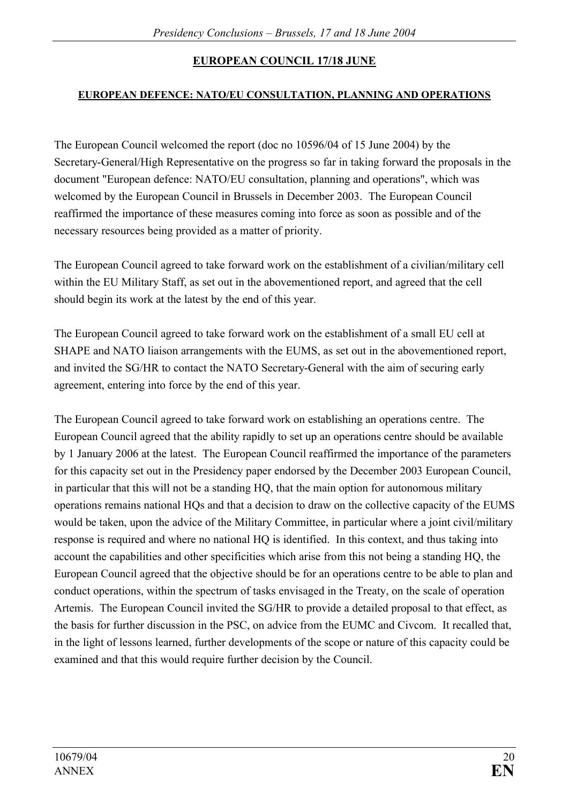## **EUROPEAN COUNCIL 17/18 JUNE**

#### **EUROPEAN DEFENCE: NATO/EU CONSULTATION, PLANNING AND OPERATIONS**

The European Council welcomed the report (doc no 10596/04 of 15 June 2004) by the Secretary-General/High Representative on the progress so far in taking forward the proposals in the document "European defence: NATO/EU consultation, planning and operations", which was welcomed by the European Council in Brussels in December 2003. The European Council reaffirmed the importance of these measures coming into force as soon as possible and of the necessary resources being provided as a matter of priority.

The European Council agreed to take forward work on the establishment of a civilian/military cell within the EU Military Staff, as set out in the abovementioned report, and agreed that the cell should begin its work at the latest by the end of this year.

The European Council agreed to take forward work on the establishment of a small EU cell at SHAPE and NATO liaison arrangements with the EUMS, as set out in the abovementioned report, and invited the SG/HR to contact the NATO Secretary-General with the aim of securing early agreement, entering into force by the end of this year.

The European Council agreed to take forward work on establishing an operations centre. The European Council agreed that the ability rapidly to set up an operations centre should be available by 1 January 2006 at the latest. The European Council reaffirmed the importance of the parameters for this capacity set out in the Presidency paper endorsed by the December 2003 European Council, in particular that this will not be a standing HQ, that the main option for autonomous military operations remains national HQs and that a decision to draw on the collective capacity of the EUMS would be taken, upon the advice of the Military Committee, in particular where a joint civil/military response is required and where no national HQ is identified. In this context, and thus taking into account the capabilities and other specificities which arise from this not being a standing HQ, the European Council agreed that the objective should be for an operations centre to be able to plan and conduct operations, within the spectrum of tasks envisaged in the Treaty, on the scale of operation Artemis. The European Council invited the SG/HR to provide a detailed proposal to that effect, as the basis for further discussion in the PSC, on advice from the EUMC and Civcom. It recalled that, in the light of lessons learned, further developments of the scope or nature of this capacity could be examined and that this would require further decision by the Council.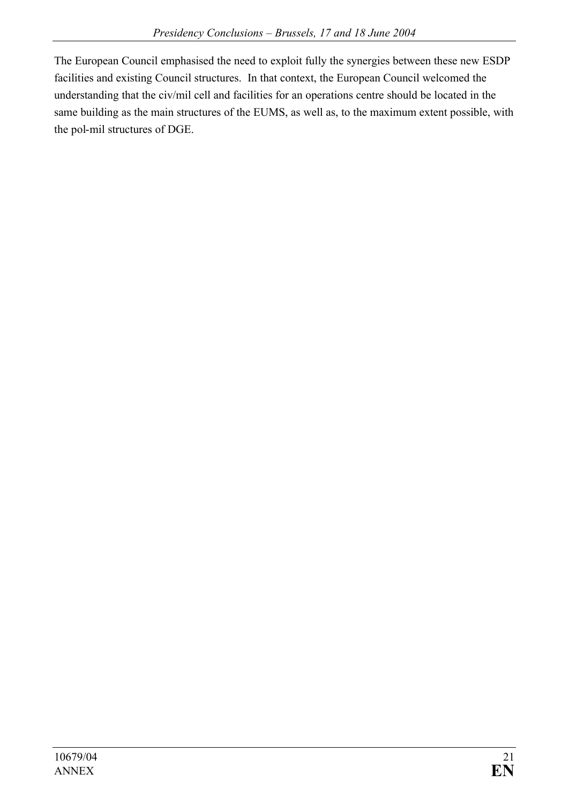The European Council emphasised the need to exploit fully the synergies between these new ESDP facilities and existing Council structures. In that context, the European Council welcomed the understanding that the civ/mil cell and facilities for an operations centre should be located in the same building as the main structures of the EUMS, as well as, to the maximum extent possible, with the pol-mil structures of DGE.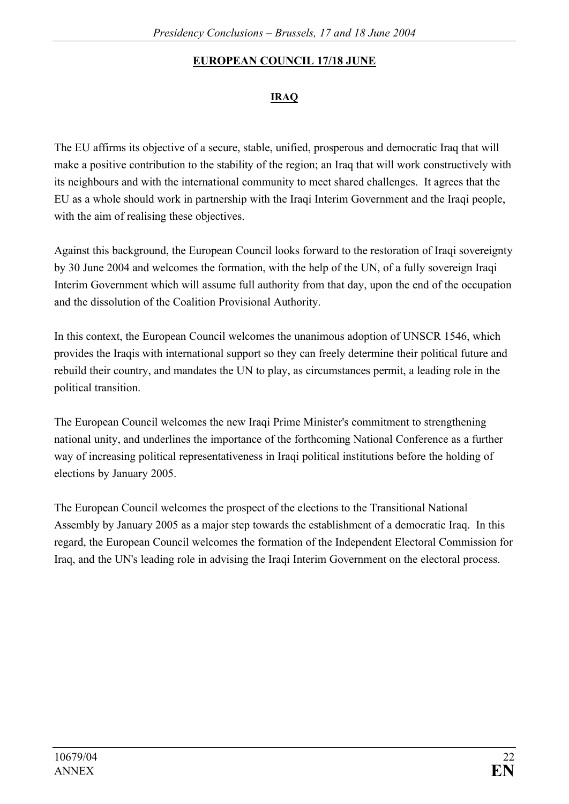# **EUROPEAN COUNCIL 17/18 JUNE**

## **IRAQ**

The EU affirms its objective of a secure, stable, unified, prosperous and democratic Iraq that will make a positive contribution to the stability of the region; an Iraq that will work constructively with its neighbours and with the international community to meet shared challenges. It agrees that the EU as a whole should work in partnership with the Iraqi Interim Government and the Iraqi people, with the aim of realising these objectives.

Against this background, the European Council looks forward to the restoration of Iraqi sovereignty by 30 June 2004 and welcomes the formation, with the help of the UN, of a fully sovereign Iraqi Interim Government which will assume full authority from that day, upon the end of the occupation and the dissolution of the Coalition Provisional Authority.

In this context, the European Council welcomes the unanimous adoption of UNSCR 1546, which provides the Iraqis with international support so they can freely determine their political future and rebuild their country, and mandates the UN to play, as circumstances permit, a leading role in the political transition.

The European Council welcomes the new Iraqi Prime Minister's commitment to strengthening national unity, and underlines the importance of the forthcoming National Conference as a further way of increasing political representativeness in Iraqi political institutions before the holding of elections by January 2005.

The European Council welcomes the prospect of the elections to the Transitional National Assembly by January 2005 as a major step towards the establishment of a democratic Iraq. In this regard, the European Council welcomes the formation of the Independent Electoral Commission for Iraq, and the UN's leading role in advising the Iraqi Interim Government on the electoral process.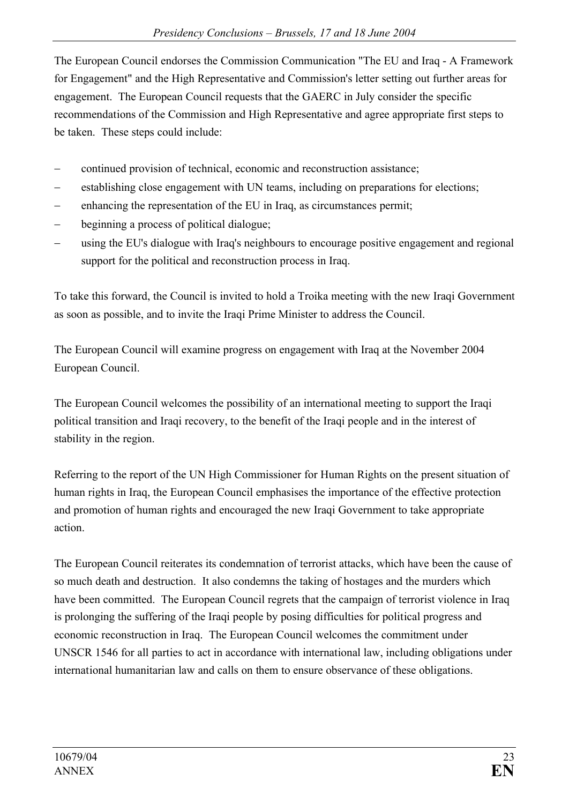The European Council endorses the Commission Communication "The EU and Iraq - A Framework for Engagement" and the High Representative and Commission's letter setting out further areas for engagement. The European Council requests that the GAERC in July consider the specific recommendations of the Commission and High Representative and agree appropriate first steps to be taken. These steps could include:

- continued provision of technical, economic and reconstruction assistance;
- establishing close engagement with UN teams, including on preparations for elections;
- enhancing the representation of the EU in Iraq, as circumstances permit;
- beginning a process of political dialogue;
- using the EU's dialogue with Iraq's neighbours to encourage positive engagement and regional support for the political and reconstruction process in Iraq.

To take this forward, the Council is invited to hold a Troika meeting with the new Iraqi Government as soon as possible, and to invite the Iraqi Prime Minister to address the Council.

The European Council will examine progress on engagement with Iraq at the November 2004 European Council.

The European Council welcomes the possibility of an international meeting to support the Iraqi political transition and Iraqi recovery, to the benefit of the Iraqi people and in the interest of stability in the region.

Referring to the report of the UN High Commissioner for Human Rights on the present situation of human rights in Iraq, the European Council emphasises the importance of the effective protection and promotion of human rights and encouraged the new Iraqi Government to take appropriate action.

The European Council reiterates its condemnation of terrorist attacks, which have been the cause of so much death and destruction. It also condemns the taking of hostages and the murders which have been committed. The European Council regrets that the campaign of terrorist violence in Iraq is prolonging the suffering of the Iraqi people by posing difficulties for political progress and economic reconstruction in Iraq. The European Council welcomes the commitment under UNSCR 1546 for all parties to act in accordance with international law, including obligations under international humanitarian law and calls on them to ensure observance of these obligations.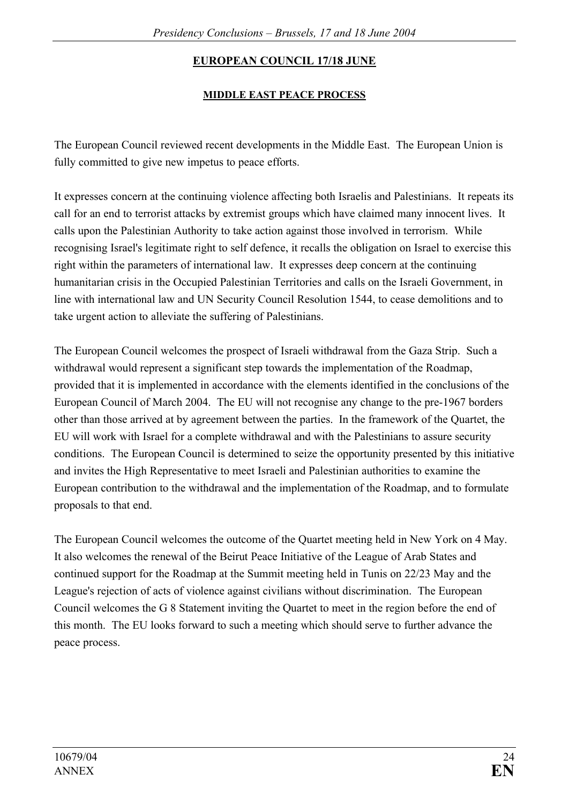# **EUROPEAN COUNCIL 17/18 JUNE**

## **MIDDLE EAST PEACE PROCESS**

The European Council reviewed recent developments in the Middle East. The European Union is fully committed to give new impetus to peace efforts.

It expresses concern at the continuing violence affecting both Israelis and Palestinians. It repeats its call for an end to terrorist attacks by extremist groups which have claimed many innocent lives. It calls upon the Palestinian Authority to take action against those involved in terrorism. While recognising Israel's legitimate right to self defence, it recalls the obligation on Israel to exercise this right within the parameters of international law. It expresses deep concern at the continuing humanitarian crisis in the Occupied Palestinian Territories and calls on the Israeli Government, in line with international law and UN Security Council Resolution 1544, to cease demolitions and to take urgent action to alleviate the suffering of Palestinians.

The European Council welcomes the prospect of Israeli withdrawal from the Gaza Strip. Such a withdrawal would represent a significant step towards the implementation of the Roadmap, provided that it is implemented in accordance with the elements identified in the conclusions of the European Council of March 2004. The EU will not recognise any change to the pre-1967 borders other than those arrived at by agreement between the parties. In the framework of the Quartet, the EU will work with Israel for a complete withdrawal and with the Palestinians to assure security conditions. The European Council is determined to seize the opportunity presented by this initiative and invites the High Representative to meet Israeli and Palestinian authorities to examine the European contribution to the withdrawal and the implementation of the Roadmap, and to formulate proposals to that end.

The European Council welcomes the outcome of the Quartet meeting held in New York on 4 May. It also welcomes the renewal of the Beirut Peace Initiative of the League of Arab States and continued support for the Roadmap at the Summit meeting held in Tunis on 22/23 May and the League's rejection of acts of violence against civilians without discrimination. The European Council welcomes the G 8 Statement inviting the Quartet to meet in the region before the end of this month. The EU looks forward to such a meeting which should serve to further advance the peace process.